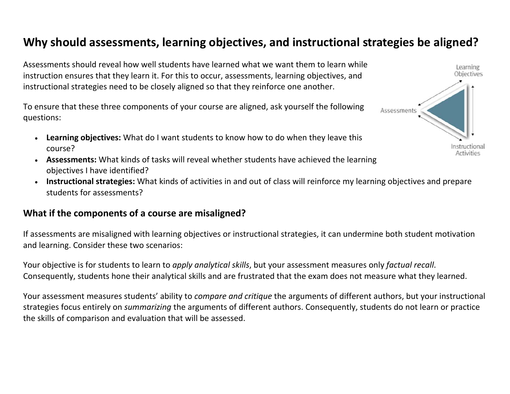## **Why should assessments, learning objectives, and instructional strategies be aligned?**

Assessments should reveal how well students have learned what we want them to learn while instruction ensures that they learn it. For this to occur, assessments, learning objectives, and instructional strategies need to be closely aligned so that they reinforce one another.

To ensure that these three components of your course are aligned, ask yourself the following questions:

- **Learning objectives:** What do I want students to know how to do when they leave this course?
- **Assessments:** What kinds of tasks will reveal whether students have achieved the learning objectives I have identified?
- c **Instructional strategies:** What kinds of activities in and out of class will reinforce my learning objectives and prepare students for assessments?

## **What if the components of <sup>a</sup> course are misaligned?**

If assessments are misaligned with learning objectives or instructional strategies, it can undermine both student motivation and learning. Consider these two scenarios:

Your objective is for students to learn to *apply analytical skills*, but your assessment measures only *factual recall*. Consequently, students hone their analytical skills and are frustrated that the exam does not measure what they learned.

Your assessment measures students' ability to *compare and critique* the arguments of different authors, but your instructional strategies focus entirely on *summarizing* the arguments of different authors. Consequently, students do not learn or practice the skills of comparison and evaluation that will be assessed.